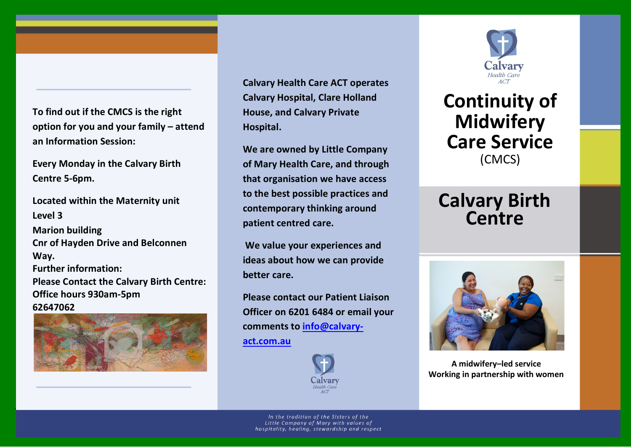**To find out if the CMCS is the right option for you and your family – attend an Information Session:**

**Every Monday in the Calvary Birth Centre 5-6pm.**

**Located within the Maternity unit Level 3 Marion building Cnr of Hayden Drive and Belconnen Way. Further information: Please Contact the Calvary Birth Centre: Office hours 930am-5pm 62647062**



January 2014

**Calvary Health Care ACT operates Calvary Hospital, Clare Holland House, and Calvary Private Hospital.**

**We are owned by Little Company of Mary Health Care, and through that organisation we have access to the best possible practices and contemporary thinking around patient centred care.**

**We value your experiences and ideas about how we can provide better care.**

**Please contact our Patient Liaison Officer on 6201 6484 or email your comments to [info@calvary-](mailto:info@calvary-act.com.au)**

**[act.com.au](mailto:info@calvary-act.com.au)**





## **Continuity of Midwifery Care Service** (CMCS)

## **Calvary Birth Centre**



**A midwifery–led service Working in partnership with women**

In the tradition of the Sisters of the Little Company of Mary with values of hospitality, healing, stewardship and respect